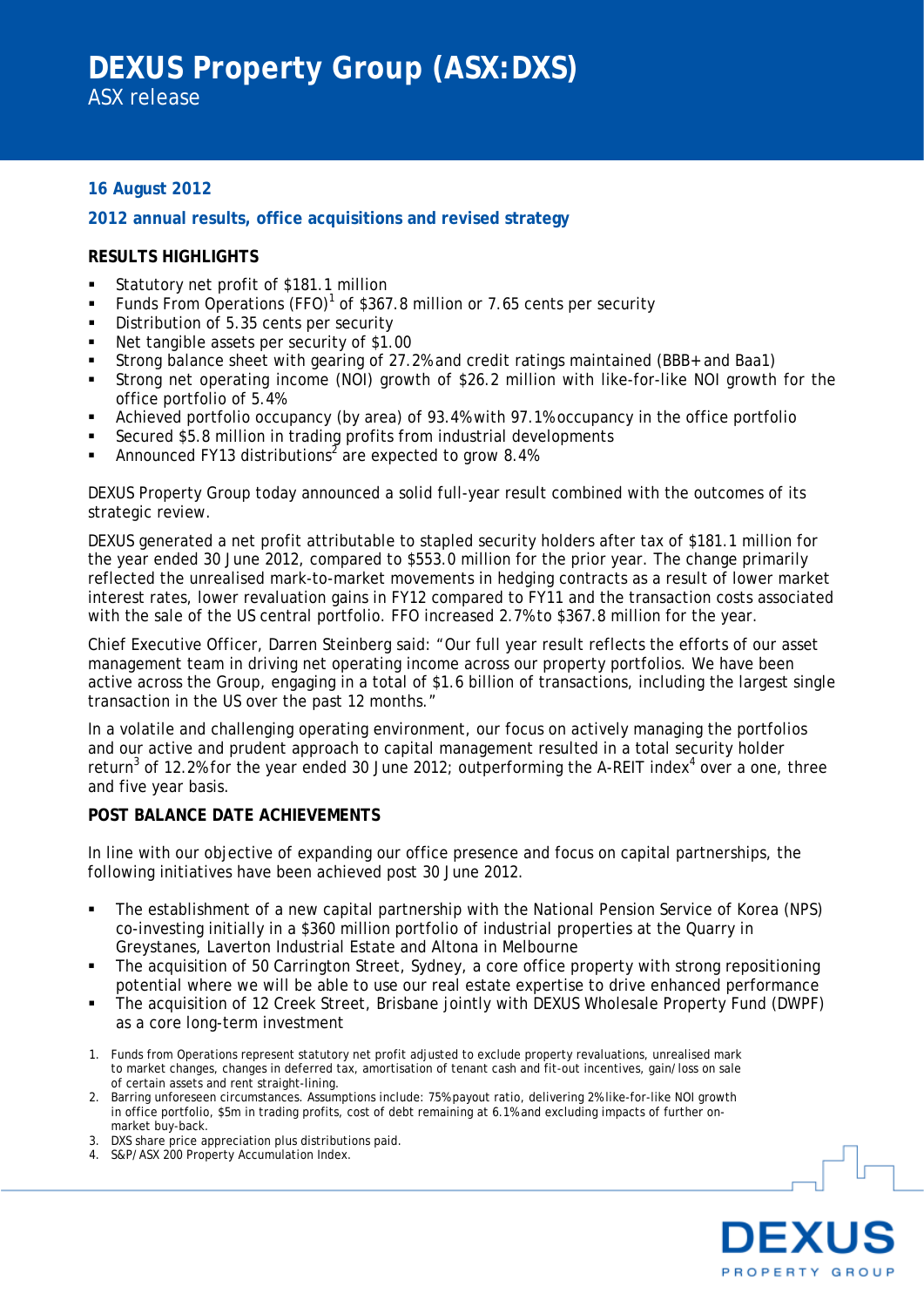# **16 August 2012**

### **2012 annual results, office acquisitions and revised strategy**

## **RESULTS HIGHLIGHTS**

- Statutory net profit of \$181.1 million
- Funds From Operations (FFO)<sup>1</sup> of \$367.8 million or 7.65 cents per security
- Distribution of 5.35 cents per security
- Net tangible assets per security of \$1.00
- Strong balance sheet with gearing of 27.2% and credit ratings maintained (BBB+ and Baa1)
- Strong net operating income (NOI) growth of \$26.2 million with like-for-like NOI growth for the office portfolio of 5.4%
- Achieved portfolio occupancy (by area) of 93.4% with 97.1% occupancy in the office portfolio
- Secured \$5.8 million in trading profits from industrial developments
- Announced FY13 distributions<sup>2</sup> are expected to grow 8.4%

DEXUS Property Group today announced a solid full-year result combined with the outcomes of its strategic review.

DEXUS generated a net profit attributable to stapled security holders after tax of \$181.1 million for the year ended 30 June 2012, compared to \$553.0 million for the prior year. The change primarily reflected the unrealised mark-to-market movements in hedging contracts as a result of lower market interest rates, lower revaluation gains in FY12 compared to FY11 and the transaction costs associated with the sale of the US central portfolio. FFO increased 2.7% to \$367.8 million for the year.

Chief Executive Officer, Darren Steinberg said: "Our full year result reflects the efforts of our asset management team in driving net operating income across our property portfolios. We have been active across the Group, engaging in a total of \$1.6 billion of transactions, including the largest single transaction in the US over the past 12 months."

In a volatile and challenging operating environment, our focus on actively managing the portfolios and our active and prudent approach to capital management resulted in a total security holder return<sup>3</sup> of 12.2% for the year ended 30 June 2012; outperforming the A-REIT index<sup>4</sup> over a one, three and five year basis.

#### **POST BALANCE DATE ACHIEVEMENTS**

In line with our objective of expanding our office presence and focus on capital partnerships, the following initiatives have been achieved post 30 June 2012.

- The establishment of a new capital partnership with the National Pension Service of Korea (NPS) co-investing initially in a \$360 million portfolio of industrial properties at the Quarry in Greystanes, Laverton Industrial Estate and Altona in Melbourne
- The acquisition of 50 Carrington Street, Sydney, a core office property with strong repositioning potential where we will be able to use our real estate expertise to drive enhanced performance
- The acquisition of 12 Creek Street, Brisbane jointly with DEXUS Wholesale Property Fund (DWPF) as a core long-term investment
- 1. Funds from Operations represent statutory net profit adjusted to exclude property revaluations, unrealised mark to market changes, changes in deferred tax, amortisation of tenant cash and fit-out incentives, gain/loss on sale of certain assets and rent straight-lining.
- 2. Barring unforeseen circumstances. Assumptions include: 75% payout ratio, delivering 2% like-for-like NOI growth in office portfolio, \$5m in trading profits, cost of debt remaining at 6.1% and excluding impacts of further onmarket buy-back.
- 3. DXS share price appreciation plus distributions paid.
- 4. S&P/ASX 200 Property Accumulation Index.

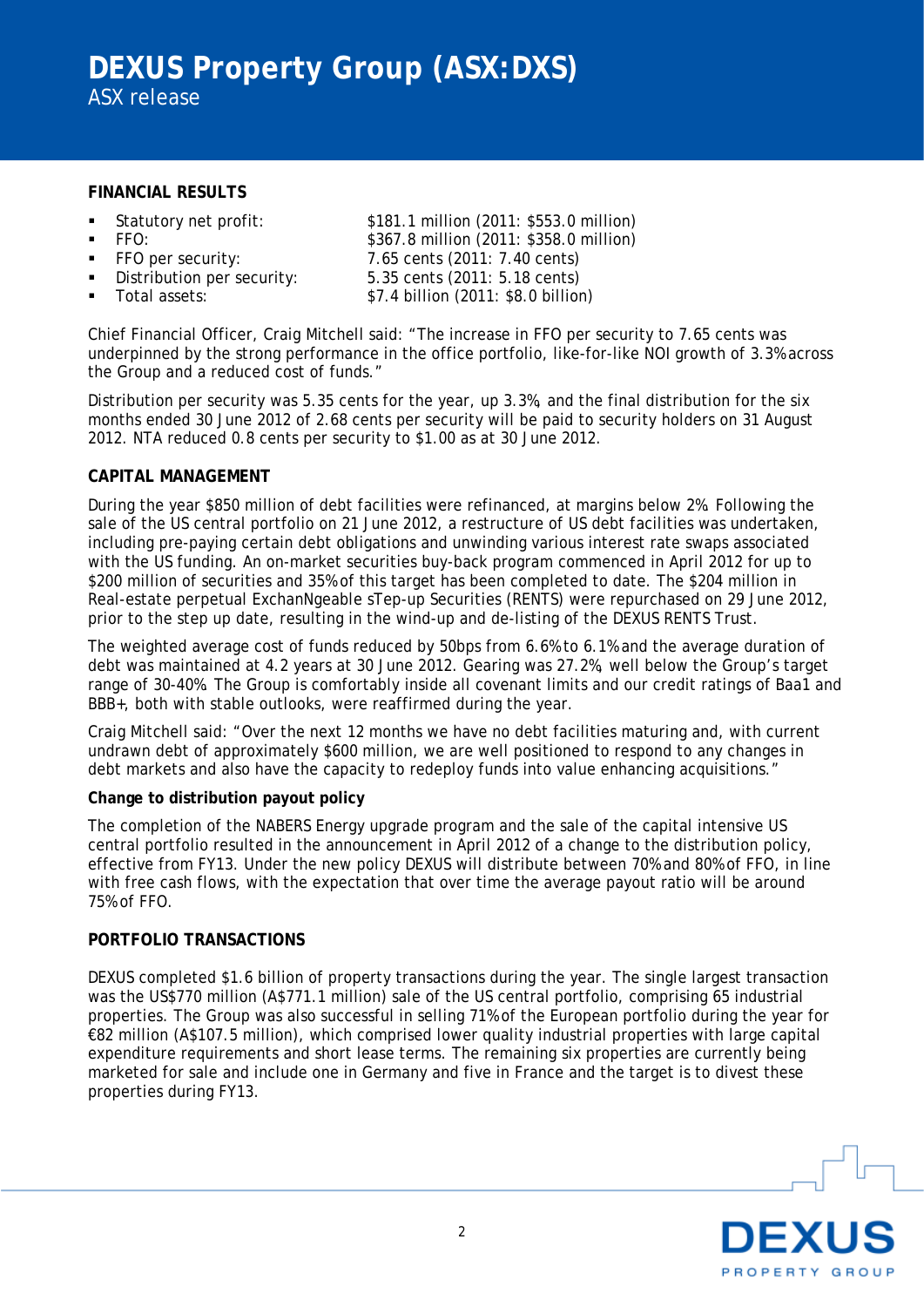### **FINANCIAL RESULTS**

- 
- 
- 
- 
- 

 Statutory net profit: \$181.1 million (2011: \$553.0 million) FFO: \$367.8 million (2011: \$358.0 million) FFO per security: 7.65 cents (2011: 7.40 cents) Distribution per security: 5.35 cents (2011: 5.18 cents) Total assets: \$7.4 billion (2011: \$8.0 billion)

Chief Financial Officer, Craig Mitchell said: "The increase in FFO per security to 7.65 cents was underpinned by the strong performance in the office portfolio, like-for-like NOI growth of 3.3% across the Group and a reduced cost of funds."

Distribution per security was 5.35 cents for the year, up 3.3%, and the final distribution for the six months ended 30 June 2012 of 2.68 cents per security will be paid to security holders on 31 August 2012. NTA reduced 0.8 cents per security to \$1.00 as at 30 June 2012.

### **CAPITAL MANAGEMENT**

During the year \$850 million of debt facilities were refinanced, at margins below 2%. Following the sale of the US central portfolio on 21 June 2012, a restructure of US debt facilities was undertaken, including pre-paying certain debt obligations and unwinding various interest rate swaps associated with the US funding. An on-market securities buy-back program commenced in April 2012 for up to \$200 million of securities and 35% of this target has been completed to date. The \$204 million in Real-estate perpetual ExchanNgeable sTep-up Securities (RENTS) were repurchased on 29 June 2012, prior to the step up date, resulting in the wind-up and de-listing of the DEXUS RENTS Trust.

The weighted average cost of funds reduced by 50bps from 6.6% to 6.1% and the average duration of debt was maintained at 4.2 years at 30 June 2012. Gearing was 27.2%, well below the Group's target range of 30-40%. The Group is comfortably inside all covenant limits and our credit ratings of Baa1 and BBB+, both with stable outlooks, were reaffirmed during the year.

Craig Mitchell said: "Over the next 12 months we have no debt facilities maturing and, with current undrawn debt of approximately \$600 million, we are well positioned to respond to any changes in debt markets and also have the capacity to redeploy funds into value enhancing acquisitions."

### **Change to distribution payout policy**

The completion of the NABERS Energy upgrade program and the sale of the capital intensive US central portfolio resulted in the announcement in April 2012 of a change to the distribution policy, effective from FY13. Under the new policy DEXUS will distribute between 70% and 80% of FFO, in line with free cash flows, with the expectation that over time the average payout ratio will be around 75% of FFO.

#### **PORTFOLIO TRANSACTIONS**

DEXUS completed \$1.6 billion of property transactions during the year. The single largest transaction was the US\$770 million (A\$771.1 million) sale of the US central portfolio, comprising 65 industrial properties. The Group was also successful in selling 71% of the European portfolio during the year for €82 million (A\$107.5 million), which comprised lower quality industrial properties with large capital expenditure requirements and short lease terms. The remaining six properties are currently being marketed for sale and include one in Germany and five in France and the target is to divest these properties during FY13.

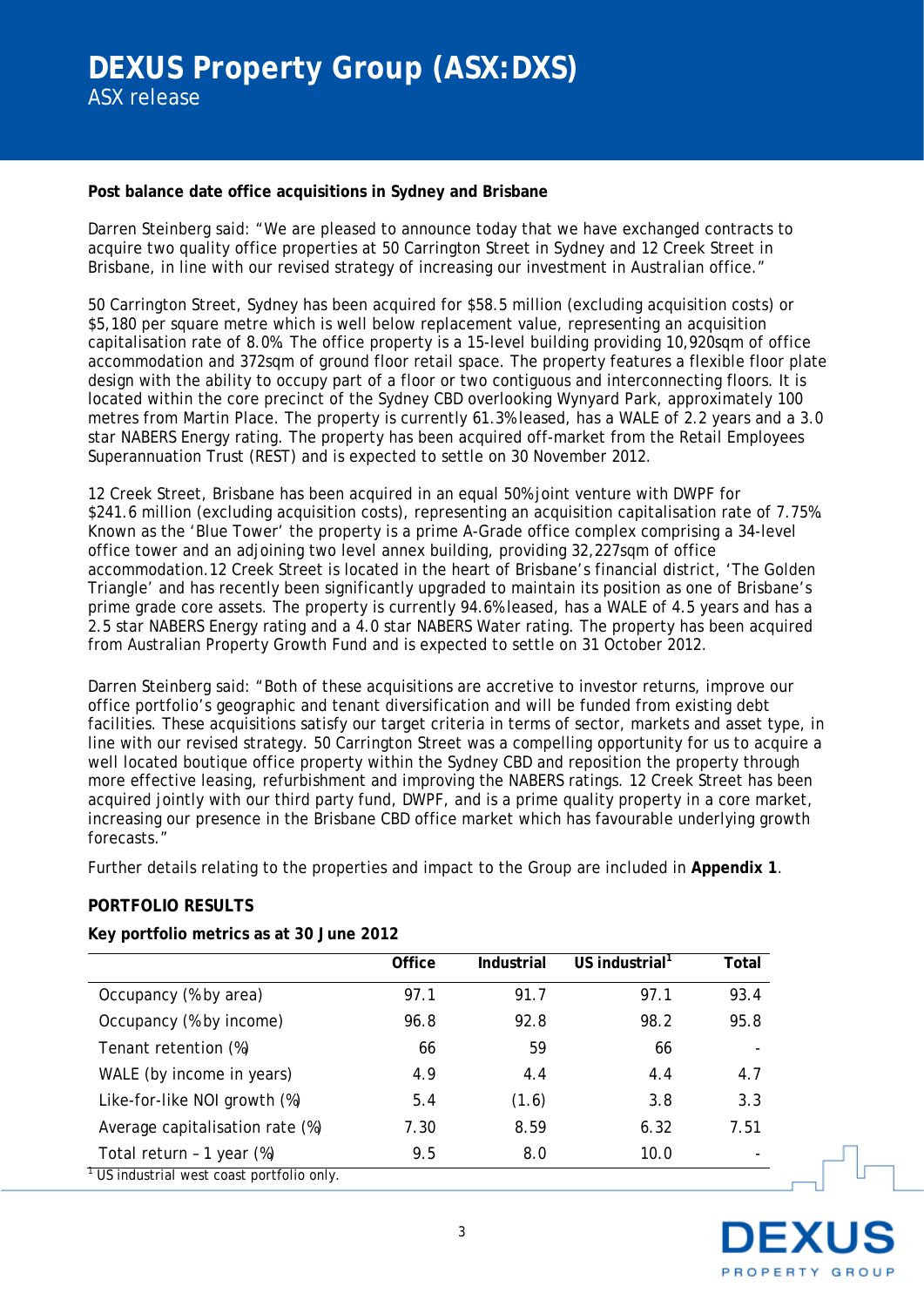### **Post balance date office acquisitions in Sydney and Brisbane**

Darren Steinberg said: "We are pleased to announce today that we have exchanged contracts to acquire two quality office properties at 50 Carrington Street in Sydney and 12 Creek Street in Brisbane, in line with our revised strategy of increasing our investment in Australian office."

50 Carrington Street, Sydney has been acquired for \$58.5 million (excluding acquisition costs) or \$5,180 per square metre which is well below replacement value, representing an acquisition capitalisation rate of 8.0%. The office property is a 15-level building providing 10,920sqm of office accommodation and 372sqm of ground floor retail space. The property features a flexible floor plate design with the ability to occupy part of a floor or two contiguous and interconnecting floors. It is located within the core precinct of the Sydney CBD overlooking Wynyard Park, approximately 100 metres from Martin Place. The property is currently 61.3% leased, has a WALE of 2.2 years and a 3.0 star NABERS Energy rating. The property has been acquired off-market from the Retail Employees Superannuation Trust (REST) and is expected to settle on 30 November 2012.

12 Creek Street, Brisbane has been acquired in an equal 50% joint venture with DWPF for \$241.6 million (excluding acquisition costs), representing an acquisition capitalisation rate of 7.75%. Known as the 'Blue Tower' the property is a prime A-Grade office complex comprising a 34-level office tower and an adjoining two level annex building, providing 32,227sqm of office accommodation.12 Creek Street is located in the heart of Brisbane's financial district, 'The Golden Triangle' and has recently been significantly upgraded to maintain its position as one of Brisbane's prime grade core assets. The property is currently 94.6% leased, has a WALE of 4.5 years and has a 2.5 star NABERS Energy rating and a 4.0 star NABERS Water rating. The property has been acquired from Australian Property Growth Fund and is expected to settle on 31 October 2012.

Darren Steinberg said: "Both of these acquisitions are accretive to investor returns, improve our office portfolio's geographic and tenant diversification and will be funded from existing debt facilities. These acquisitions satisfy our target criteria in terms of sector, markets and asset type, in line with our revised strategy. 50 Carrington Street was a compelling opportunity for us to acquire a well located boutique office property within the Sydney CBD and reposition the property through more effective leasing, refurbishment and improving the NABERS ratings. 12 Creek Street has been acquired jointly with our third party fund, DWPF, and is a prime quality property in a core market, increasing our presence in the Brisbane CBD office market which has favourable underlying growth forecasts."

Further details relating to the properties and impact to the Group are included in **Appendix 1**.

## **PORTFOLIO RESULTS**

|                                                       | Office | Industrial | US industrial <sup>1</sup> | Total |
|-------------------------------------------------------|--------|------------|----------------------------|-------|
| Occupancy (% by area)                                 | 97.1   | 91.7       | 97.1                       | 93.4  |
| Occupancy (% by income)                               | 96.8   | 92.8       | 98.2                       | 95.8  |
| Tenant retention (%)                                  | 66     | 59         | 66                         |       |
| WALE (by income in years)                             | 4.9    | 4.4        | 4.4                        | 4.7   |
| Like-for-like NOI growth (%)                          | 5.4    | (1.6)      | 3.8                        | 3.3   |
| Average capitalisation rate (%)                       | 7.30   | 8.59       | 6.32                       | 7.51  |
| Total return - 1 year (%)                             | 9.5    | 8.0        | 10.0                       |       |
| <sup>1</sup> US industrial west coast portfolio only. |        |            |                            |       |

## **Key portfolio metrics as at 30 June 2012**

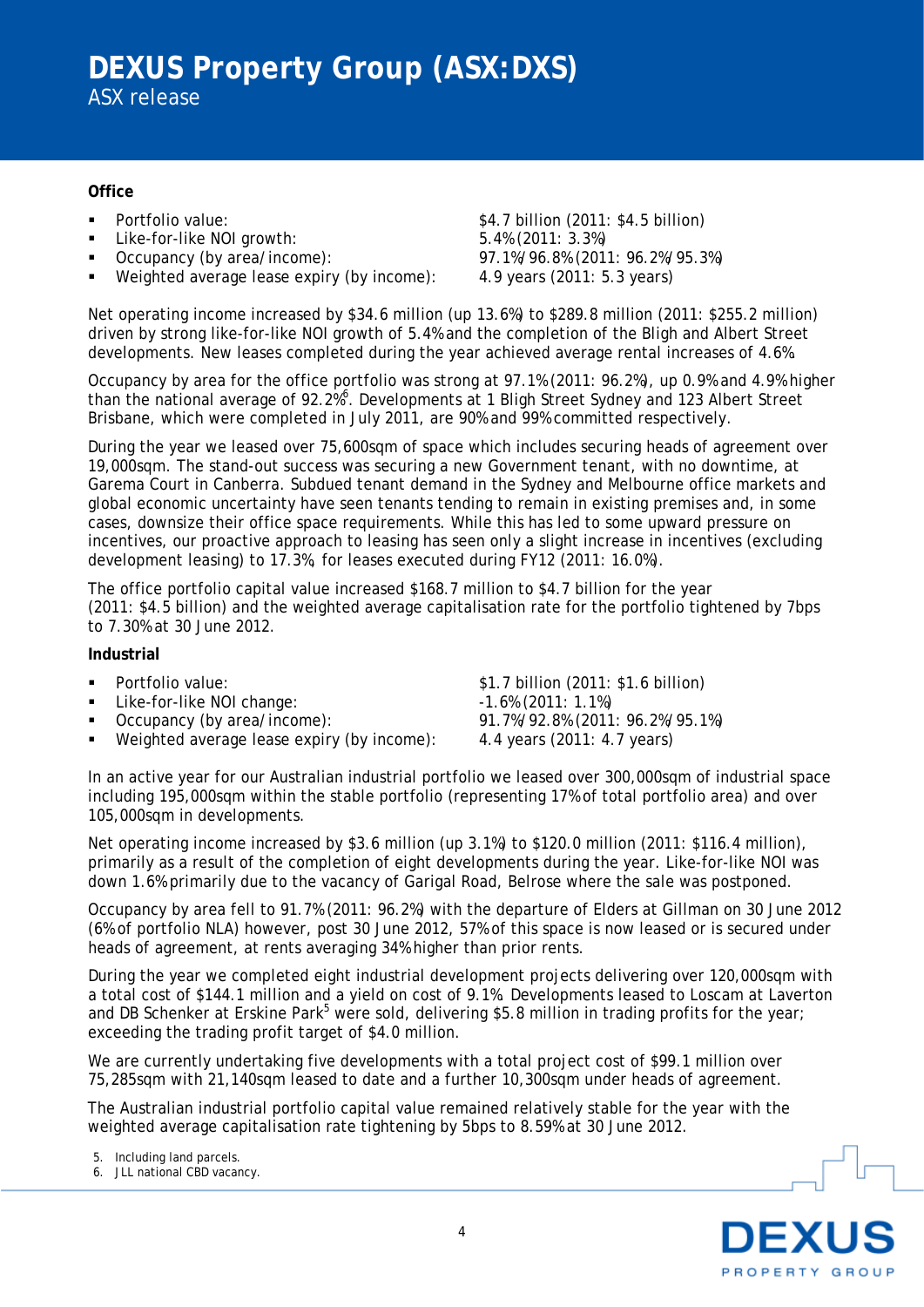### **Office**

- 
- Like-for-like NOI growth: 5.4% (2011: 3.3%)
- 
- Weighted average lease expiry (by income):

 Portfolio value: \$4.7 billion (2011: \$4.5 billion) Occupancy (by area/income): 97.1%/96.8% (2011: 96.2%/95.3%)<br>Weighted average lease expiry (by income): 4.9 years (2011: 5.3 years)

Net operating income increased by \$34.6 million (up 13.6%) to \$289.8 million (2011: \$255.2 million) driven by strong like-for-like NOI growth of 5.4% and the completion of the Bligh and Albert Street developments. New leases completed during the year achieved average rental increases of 4.6%.

Occupancy by area for the office portfolio was strong at 97.1% (2011: 96.2%), up 0.9% and 4.9% higher than the national average of 92.2%<sup>6</sup>. Developments at 1 Bligh Street Sydney and 123 Albert Street Brisbane, which were completed in July 2011, are 90% and 99% committed respectively.

During the year we leased over 75,600sqm of space which includes securing heads of agreement over 19,000sqm. The stand-out success was securing a new Government tenant, with no downtime, at Garema Court in Canberra. Subdued tenant demand in the Sydney and Melbourne office markets and global economic uncertainty have seen tenants tending to remain in existing premises and, in some cases, downsize their office space requirements. While this has led to some upward pressure on incentives, our proactive approach to leasing has seen only a slight increase in incentives (excluding development leasing) to 17.3%, for leases executed during FY12 (2011: 16.0%).

The office portfolio capital value increased \$168.7 million to \$4.7 billion for the year (2011: \$4.5 billion) and the weighted average capitalisation rate for the portfolio tightened by 7bps to 7.30% at 30 June 2012.

### **Industrial**

- 
- Like-for-like NOI change:  $-1.6\%$  (2011: 1.1%)
- 
- Weighted average lease expiry (by income): 4.4 years (2011: 4.7 years)

 Portfolio value: \$1.7 billion (2011: \$1.6 billion) Occupancy (by area/income): 91.7%/92.8% (2011: 96.2%/95.1%)

In an active year for our Australian industrial portfolio we leased over 300,000sqm of industrial space including 195,000sqm within the stable portfolio (representing 17% of total portfolio area) and over 105,000sqm in developments.

Net operating income increased by \$3.6 million (up 3.1%) to \$120.0 million (2011: \$116.4 million), primarily as a result of the completion of eight developments during the year. Like-for-like NOI was down 1.6% primarily due to the vacancy of Garigal Road, Belrose where the sale was postponed.

Occupancy by area fell to 91.7% (2011: 96.2%) with the departure of Elders at Gillman on 30 June 2012 (6% of portfolio NLA) however, post 30 June 2012, 57% of this space is now leased or is secured under heads of agreement, at rents averaging 34% higher than prior rents.

During the year we completed eight industrial development projects delivering over 120,000sqm with a total cost of \$144.1 million and a yield on cost of 9.1%. Developments leased to Loscam at Laverton and DB Schenker at Erskine Park<sup>5</sup> were sold, delivering \$5.8 million in trading profits for the year; exceeding the trading profit target of \$4.0 million.

We are currently undertaking five developments with a total project cost of \$99.1 million over 75,285sqm with 21,140sqm leased to date and a further 10,300sqm under heads of agreement.

The Australian industrial portfolio capital value remained relatively stable for the year with the weighted average capitalisation rate tightening by 5bps to 8.59% at 30 June 2012.

5. Including land parcels.

6. JLL national CBD vacancy.

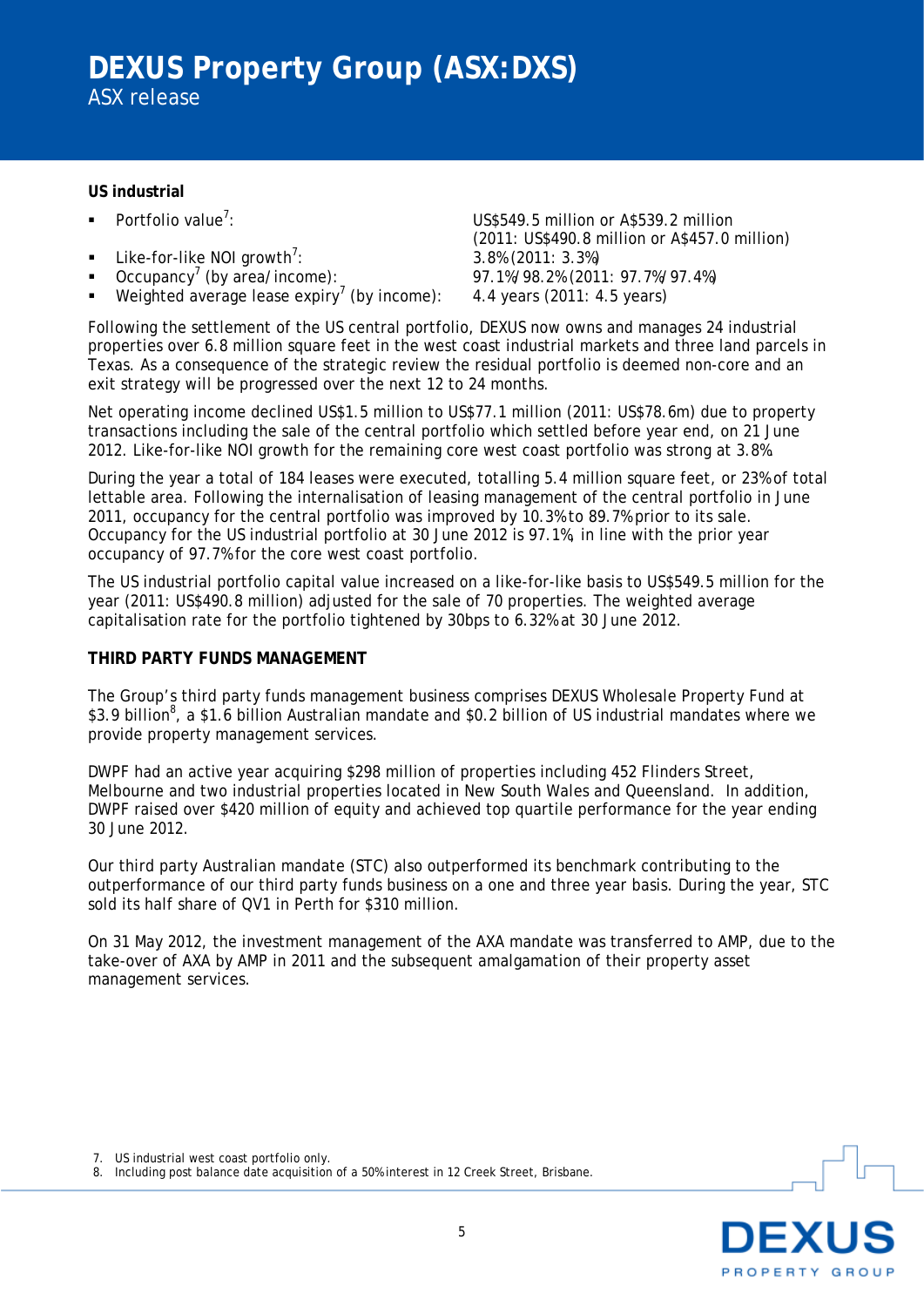### **US industrial**

- Portfolio value<sup>7</sup>:
- 
- **Like-for-like NOI growth<sup>7</sup>:**<br>**Occupancy<sup>7</sup> (by area/income):**
- Weighted average lease expiry<sup>7</sup> (by income): 4.4 years (2011: 4.5 years)

US\$549.5 million or A\$539.2 million (2011: US\$490.8 million or A\$457.0 million) : 3.8% (2011: 3.3%) Occupancy<sup>7</sup> (by area/income): 97.1%/98.2% (2011: 97.7%/97.4%)

Following the settlement of the US central portfolio, DEXUS now owns and manages 24 industrial properties over 6.8 million square feet in the west coast industrial markets and three land parcels in Texas. As a consequence of the strategic review the residual portfolio is deemed non-core and an exit strategy will be progressed over the next 12 to 24 months.

Net operating income declined US\$1.5 million to US\$77.1 million (2011: US\$78.6m) due to property transactions including the sale of the central portfolio which settled before year end, on 21 June 2012. Like-for-like NOI growth for the remaining core west coast portfolio was strong at 3.8%.

During the year a total of 184 leases were executed, totalling 5.4 million square feet, or 23% of total lettable area. Following the internalisation of leasing management of the central portfolio in June 2011, occupancy for the central portfolio was improved by 10.3% to 89.7% prior to its sale. Occupancy for the US industrial portfolio at 30 June 2012 is 97.1%, in line with the prior year occupancy of 97.7% for the core west coast portfolio.

The US industrial portfolio capital value increased on a like-for-like basis to US\$549.5 million for the year (2011: US\$490.8 million) adjusted for the sale of 70 properties. The weighted average capitalisation rate for the portfolio tightened by 30bps to 6.32% at 30 June 2012.

## **THIRD PARTY FUNDS MANAGEMENT**

The Group's third party funds management business comprises DEXUS Wholesale Property Fund at \$3.9 billion<sup>8</sup>, a \$1.6 billion Australian mandate and \$0.2 billion of US industrial mandates where we provide property management services.

DWPF had an active year acquiring \$298 million of properties including 452 Flinders Street, Melbourne and two industrial properties located in New South Wales and Queensland. In addition, DWPF raised over \$420 million of equity and achieved top quartile performance for the year ending 30 June 2012.

Our third party Australian mandate (STC) also outperformed its benchmark contributing to the outperformance of our third party funds business on a one and three year basis. During the year, STC sold its half share of QV1 in Perth for \$310 million.

On 31 May 2012, the investment management of the AXA mandate was transferred to AMP, due to the take-over of AXA by AMP in 2011 and the subsequent amalgamation of their property asset management services.

7. US industrial west coast portfolio only.



<sup>8.</sup> Including post balance date acquisition of a 50% interest in 12 Creek Street, Brisbane.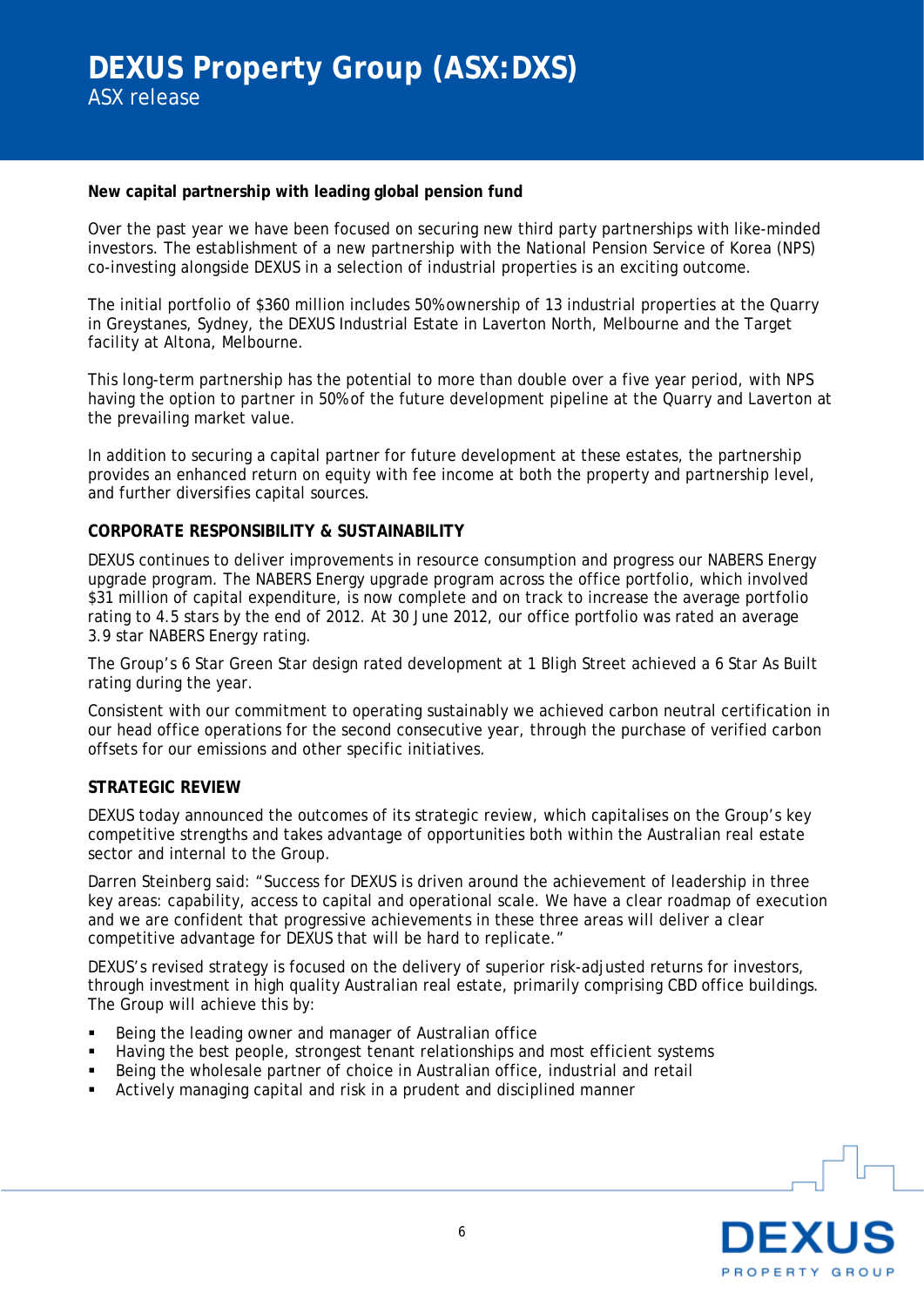### **New capital partnership with leading global pension fund**

Over the past year we have been focused on securing new third party partnerships with like-minded investors. The establishment of a new partnership with the National Pension Service of Korea (NPS) co-investing alongside DEXUS in a selection of industrial properties is an exciting outcome.

The initial portfolio of \$360 million includes 50% ownership of 13 industrial properties at the Quarry in Greystanes, Sydney, the DEXUS Industrial Estate in Laverton North, Melbourne and the Target facility at Altona, Melbourne.

This long-term partnership has the potential to more than double over a five year period, with NPS having the option to partner in 50% of the future development pipeline at the Quarry and Laverton at the prevailing market value.

In addition to securing a capital partner for future development at these estates, the partnership provides an enhanced return on equity with fee income at both the property and partnership level, and further diversifies capital sources.

### **CORPORATE RESPONSIBILITY & SUSTAINABILITY**

DEXUS continues to deliver improvements in resource consumption and progress our NABERS Energy upgrade program. The NABERS Energy upgrade program across the office portfolio, which involved \$31 million of capital expenditure, is now complete and on track to increase the average portfolio rating to 4.5 stars by the end of 2012. At 30 June 2012, our office portfolio was rated an average 3.9 star NABERS Energy rating.

The Group's 6 Star Green Star design rated development at 1 Bligh Street achieved a 6 Star As Built rating during the year.

Consistent with our commitment to operating sustainably we achieved carbon neutral certification in our head office operations for the second consecutive year, through the purchase of verified carbon offsets for our emissions and other specific initiatives.

#### **STRATEGIC REVIEW**

DEXUS today announced the outcomes of its strategic review, which capitalises on the Group's key competitive strengths and takes advantage of opportunities both within the Australian real estate sector and internal to the Group.

Darren Steinberg said: "Success for DEXUS is driven around the achievement of leadership in three key areas: capability, access to capital and operational scale. We have a clear roadmap of execution and we are confident that progressive achievements in these three areas will deliver a clear competitive advantage for DEXUS that will be hard to replicate."

DEXUS's revised strategy is focused on the delivery of superior risk-adjusted returns for investors, through investment in high quality Australian real estate, primarily comprising CBD office buildings. The Group will achieve this by:

- Being the leading owner and manager of Australian office
- Having the best people, strongest tenant relationships and most efficient systems
- Being the wholesale partner of choice in Australian office, industrial and retail
- Actively managing capital and risk in a prudent and disciplined manner

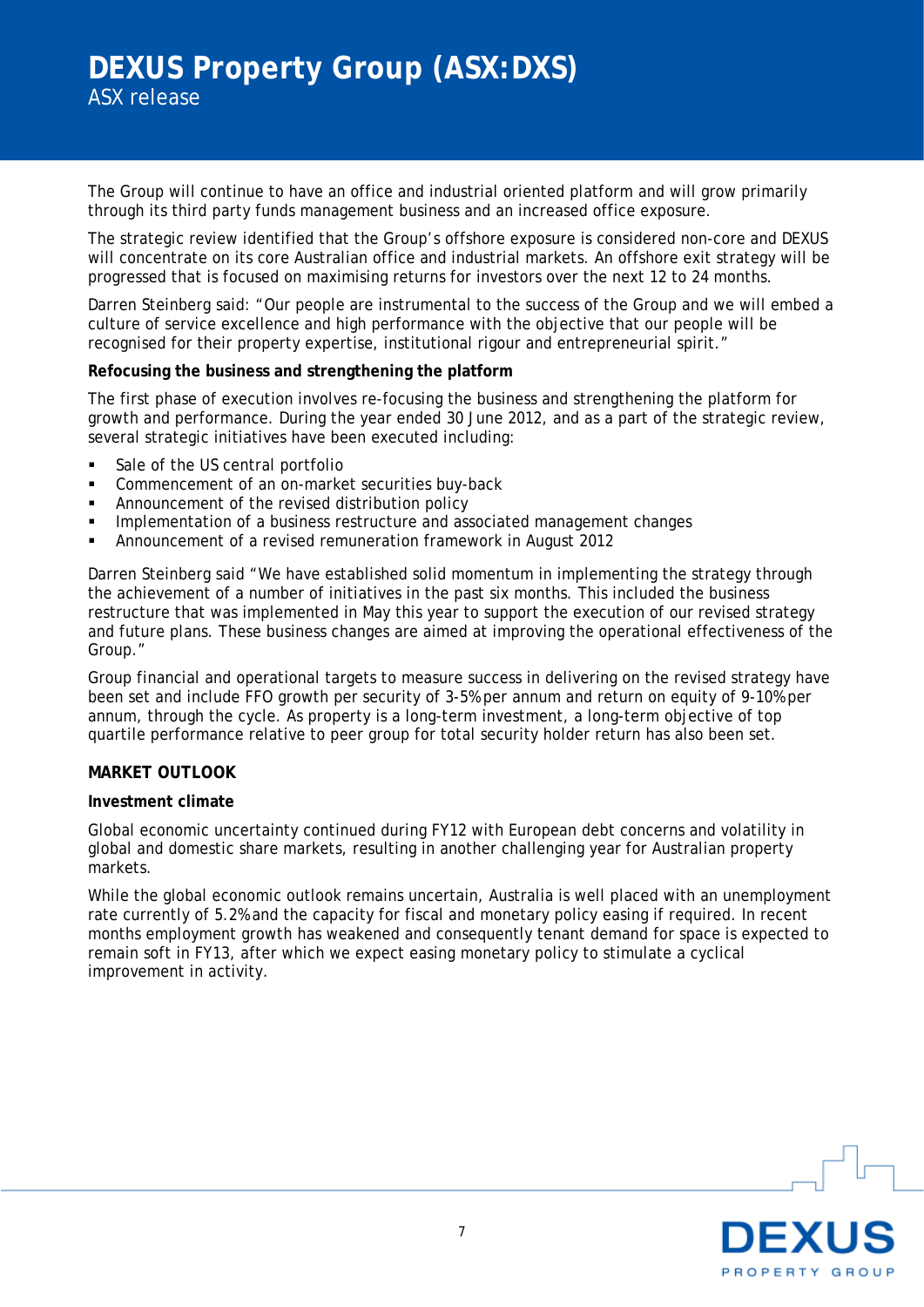The Group will continue to have an office and industrial oriented platform and will grow primarily through its third party funds management business and an increased office exposure.

The strategic review identified that the Group's offshore exposure is considered non-core and DEXUS will concentrate on its core Australian office and industrial markets. An offshore exit strategy will be progressed that is focused on maximising returns for investors over the next 12 to 24 months.

Darren Steinberg said: "Our people are instrumental to the success of the Group and we will embed a culture of service excellence and high performance with the objective that our people will be recognised for their property expertise, institutional rigour and entrepreneurial spirit."

#### **Refocusing the business and strengthening the platform**

The first phase of execution involves re-focusing the business and strengthening the platform for growth and performance. During the year ended 30 June 2012, and as a part of the strategic review, several strategic initiatives have been executed including:

- Sale of the US central portfolio
- Commencement of an on-market securities buy-back
- **Announcement of the revised distribution policy**
- **IMPLEM** Implementation of a business restructure and associated management changes
- Announcement of a revised remuneration framework in August 2012

Darren Steinberg said "We have established solid momentum in implementing the strategy through the achievement of a number of initiatives in the past six months. This included the business restructure that was implemented in May this year to support the execution of our revised strategy and future plans. These business changes are aimed at improving the operational effectiveness of the Group."

Group financial and operational targets to measure success in delivering on the revised strategy have been set and include FFO growth per security of 3-5% per annum and return on equity of 9-10% per annum, through the cycle. As property is a long-term investment, a long-term objective of top quartile performance relative to peer group for total security holder return has also been set.

### **MARKET OUTLOOK**

#### **Investment climate**

Global economic uncertainty continued during FY12 with European debt concerns and volatility in global and domestic share markets, resulting in another challenging year for Australian property markets.

While the global economic outlook remains uncertain, Australia is well placed with an unemployment rate currently of 5.2% and the capacity for fiscal and monetary policy easing if required. In recent months employment growth has weakened and consequently tenant demand for space is expected to remain soft in FY13, after which we expect easing monetary policy to stimulate a cyclical improvement in activity.

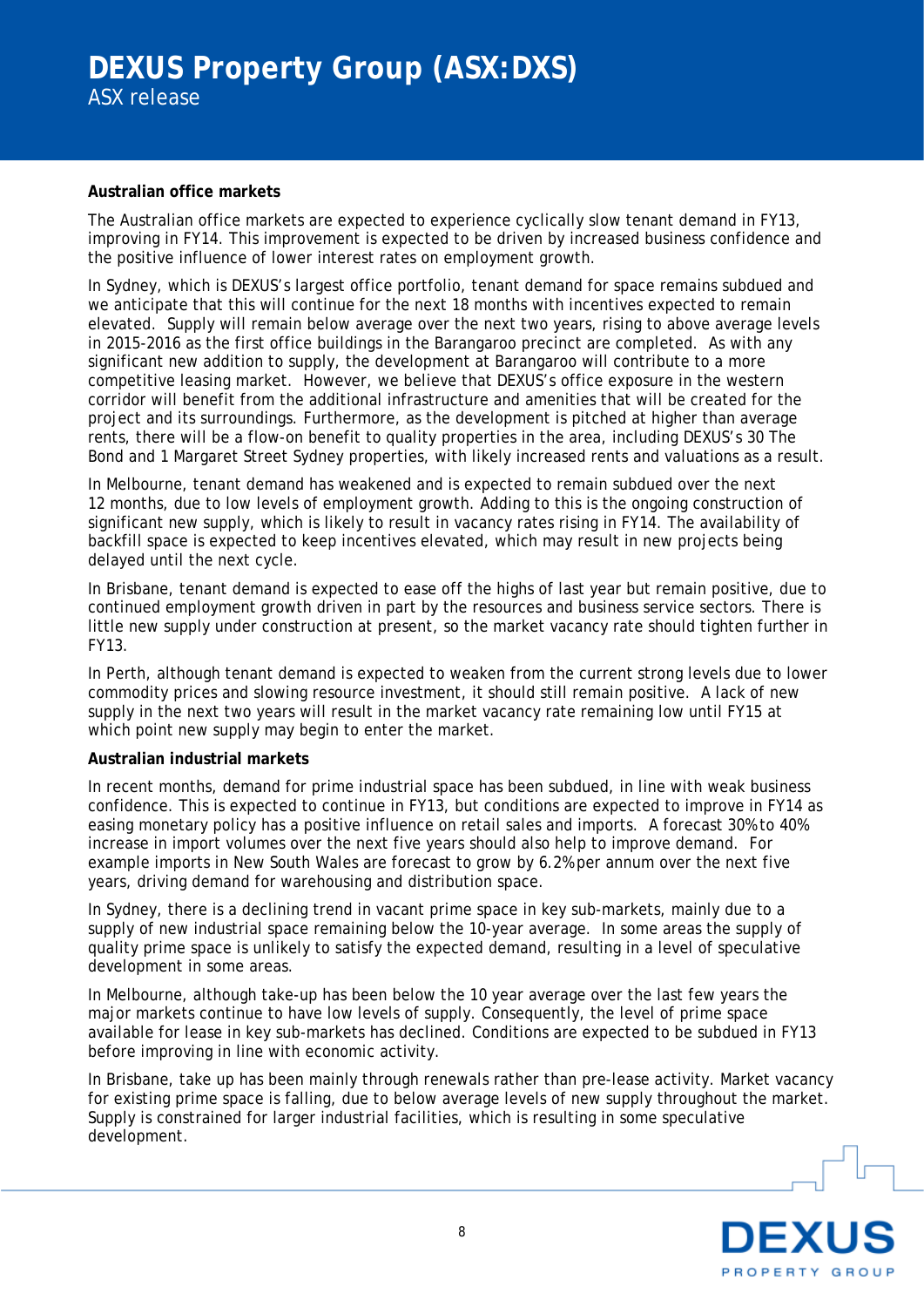## **Australian office markets**

The Australian office markets are expected to experience cyclically slow tenant demand in FY13, improving in FY14. This improvement is expected to be driven by increased business confidence and the positive influence of lower interest rates on employment growth.

In Sydney, which is DEXUS's largest office portfolio, tenant demand for space remains subdued and we anticipate that this will continue for the next 18 months with incentives expected to remain elevated. Supply will remain below average over the next two years, rising to above average levels in 2015-2016 as the first office buildings in the Barangaroo precinct are completed. As with any significant new addition to supply, the development at Barangaroo will contribute to a more competitive leasing market. However, we believe that DEXUS's office exposure in the western corridor will benefit from the additional infrastructure and amenities that will be created for the project and its surroundings. Furthermore, as the development is pitched at higher than average rents, there will be a flow-on benefit to quality properties in the area, including DEXUS's 30 The Bond and 1 Margaret Street Sydney properties, with likely increased rents and valuations as a result.

In Melbourne, tenant demand has weakened and is expected to remain subdued over the next 12 months, due to low levels of employment growth. Adding to this is the ongoing construction of significant new supply, which is likely to result in vacancy rates rising in FY14. The availability of backfill space is expected to keep incentives elevated, which may result in new projects being delayed until the next cycle.

In Brisbane, tenant demand is expected to ease off the highs of last year but remain positive, due to continued employment growth driven in part by the resources and business service sectors. There is little new supply under construction at present, so the market vacancy rate should tighten further in FY13.

In Perth, although tenant demand is expected to weaken from the current strong levels due to lower commodity prices and slowing resource investment, it should still remain positive. A lack of new supply in the next two years will result in the market vacancy rate remaining low until FY15 at which point new supply may begin to enter the market.

#### **Australian industrial markets**

In recent months, demand for prime industrial space has been subdued, in line with weak business confidence. This is expected to continue in FY13, but conditions are expected to improve in FY14 as easing monetary policy has a positive influence on retail sales and imports. A forecast 30% to 40% increase in import volumes over the next five years should also help to improve demand. For example imports in New South Wales are forecast to grow by 6.2% per annum over the next five years, driving demand for warehousing and distribution space.

In Sydney, there is a declining trend in vacant prime space in key sub-markets, mainly due to a supply of new industrial space remaining below the 10-year average. In some areas the supply of quality prime space is unlikely to satisfy the expected demand, resulting in a level of speculative development in some areas.

In Melbourne, although take-up has been below the 10 year average over the last few years the major markets continue to have low levels of supply. Consequently, the level of prime space available for lease in key sub-markets has declined. Conditions are expected to be subdued in FY13 before improving in line with economic activity.

In Brisbane, take up has been mainly through renewals rather than pre-lease activity. Market vacancy for existing prime space is falling, due to below average levels of new supply throughout the market. Supply is constrained for larger industrial facilities, which is resulting in some speculative development.

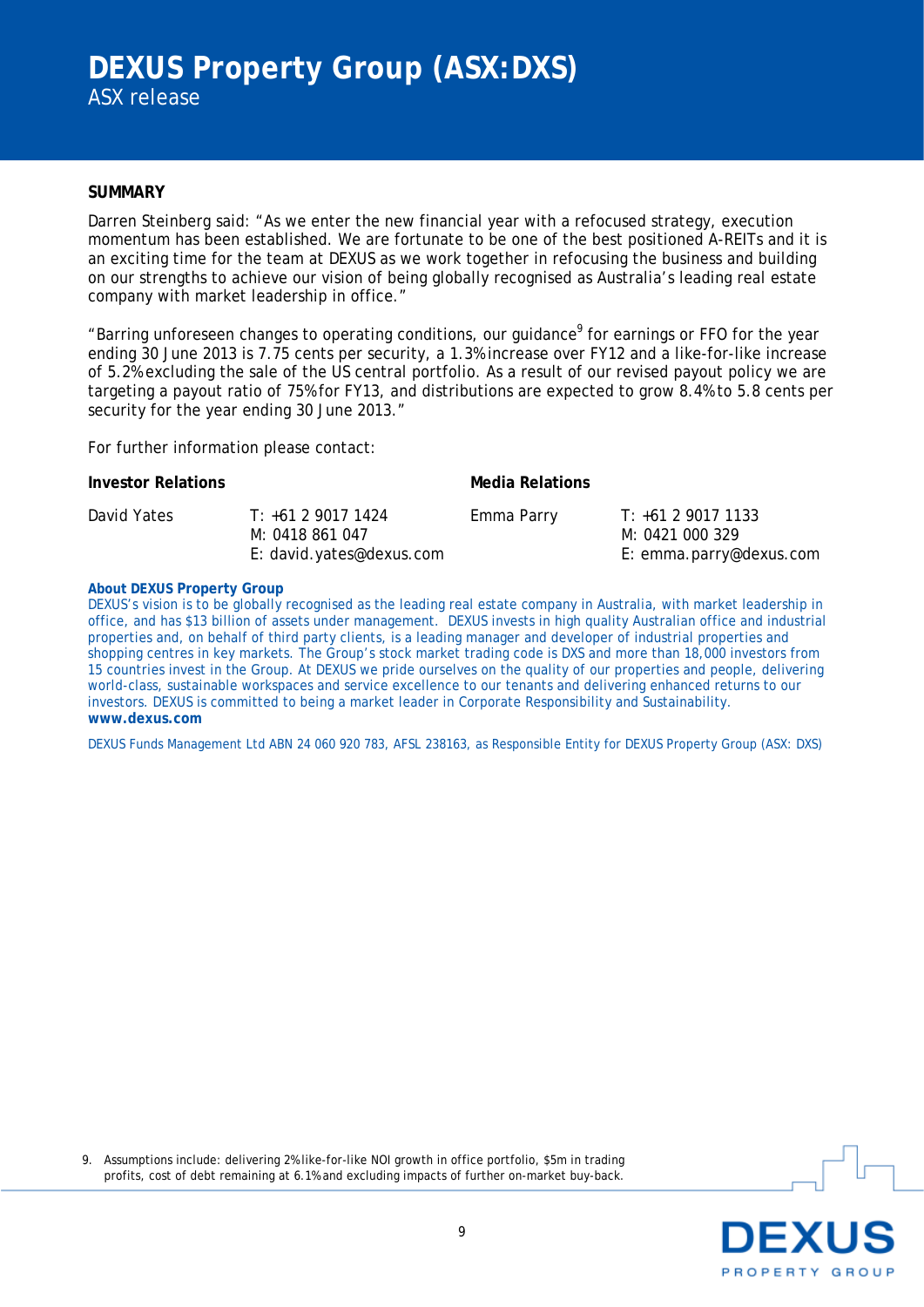#### **SUMMARY**

Darren Steinberg said: "As we enter the new financial year with a refocused strategy, execution momentum has been established. We are fortunate to be one of the best positioned A-REITs and it is an exciting time for the team at DEXUS as we work together in refocusing the business and building on our strengths to achieve our vision of being globally recognised as Australia's leading real estate company with market leadership in office."

"Barring unforeseen changes to operating conditions, our guidance<sup>9</sup> for earnings or FFO for the year ending 30 June 2013 is 7.75 cents per security, a 1.3% increase over FY12 and a like-for-like increase of 5.2% excluding the sale of the US central portfolio. As a result of our revised payout policy we are targeting a payout ratio of 75% for FY13, and distributions are expected to grow 8.4% to 5.8 cents per security for the year ending 30 June 2013."

For further information please contact:

| <b>Investor Relations</b> |                                                                  | <b>Media Relations</b> |                                                                  |
|---------------------------|------------------------------------------------------------------|------------------------|------------------------------------------------------------------|
| David Yates               | $T: +61290171424$<br>M: 0418 861 047<br>E: david.yates@dexus.com | Emma Parry             | T: +61 2 9017 1133<br>M: 0421 000 329<br>E: emma.parry@dexus.com |

#### **About DEXUS Property Group**

DEXUS's vision is to be globally recognised as the leading real estate company in Australia, with market leadership in office, and has \$13 billion of assets under management. DEXUS invests in high quality Australian office and industrial properties and, on behalf of third party clients, is a leading manager and developer of industrial properties and shopping centres in key markets. The Group's stock market trading code is DXS and more than 18,000 investors from 15 countries invest in the Group. At DEXUS we pride ourselves on the quality of our properties and people, delivering world-class, sustainable workspaces and service excellence to our tenants and delivering enhanced returns to our investors. DEXUS is committed to being a market leader in Corporate Responsibility and Sustainability. **www.dexus.com**

DEXUS Funds Management Ltd ABN 24 060 920 783, AFSL 238163, as Responsible Entity for DEXUS Property Group (ASX: DXS)

9. Assumptions include: delivering 2% like-for-like NOI growth in office portfolio, \$5m in trading profits, cost of debt remaining at 6.1% and excluding impacts of further on-market buy-back.

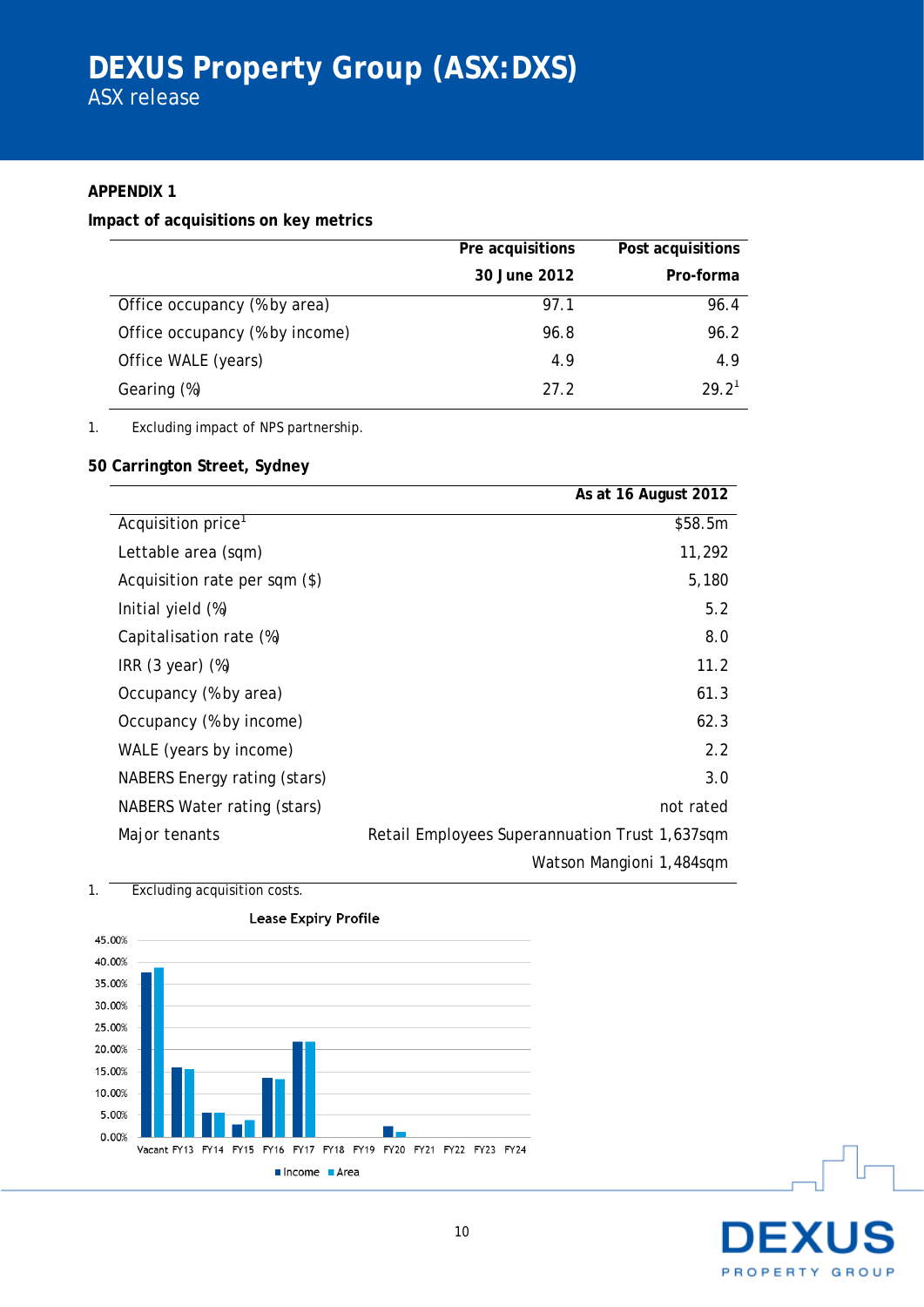## **APPENDIX 1**

### **Impact of acquisitions on key metrics**

|                                | Pre acquisitions | Post acquisitions |
|--------------------------------|------------------|-------------------|
|                                | 30 June 2012     | Pro-forma         |
| Office occupancy (% by area)   | 97.1             | 96.4              |
| Office occupancy (% by income) | 96.8             | 96.2              |
| Office WALE (years)            | 4.9              | 4.9               |
| Gearing (%)                    | 27.2             | 29.2 <sup>1</sup> |

1. Excluding impact of NPS partnership.

## **50 Carrington Street, Sydney**

|                               | As at 16 August 2012                           |
|-------------------------------|------------------------------------------------|
| Acquisition price             | \$58.5m                                        |
| Lettable area (sqm)           | 11,292                                         |
| Acquisition rate per sqm (\$) | 5,180                                          |
| Initial yield (%)             | 5.2                                            |
| Capitalisation rate (%)       | 8.0                                            |
| IRR $(3 \text{ year})$ $(\%)$ | 11.2                                           |
| Occupancy (% by area)         | 61.3                                           |
| Occupancy (% by income)       | 62.3                                           |
| WALE (years by income)        | 2.2                                            |
| NABERS Energy rating (stars)  | 3.0                                            |
| NABERS Water rating (stars)   | not rated                                      |
| Major tenants                 | Retail Employees Superannuation Trust 1,637sqm |
|                               | Watson Mangioni 1,484sqm                       |